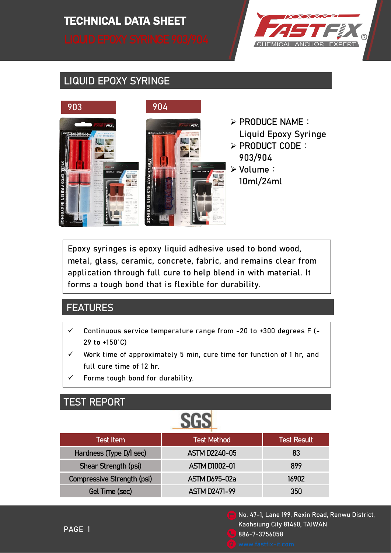# TECHNICAL DATA SHEET TECHNICAL DATA SHEET



#### LIQUID EPOXY SYRINGE



- ➢ PRODUCE NAME: Liquid Epoxy Syringe
- ➢ PRODUCT CODE: 903/904
- ➢ Volume: 10ml/24ml

Epoxy syringes is epoxy liquid adhesive used to bond wood, metal, glass, ceramic, concrete, fabric, and remains clear from application through full cure to help blend in with material. It forms a tough bond that is flexible for durability.

#### **FEATURES**

- $\checkmark$  Continuous service temperature range from -20 to +300 degrees F (-29 to +150°C)
- ✓ Work time of approximately 5 min, cure time for function of 1 hr, and full cure time of 12 hr.
- Forms tough bond for durability.

#### TEST REPORT

# **SGS**

| Test Item                  | Test Method <sup> </sup> | <b>Test Result</b> |
|----------------------------|--------------------------|--------------------|
| Hardness (Type D/I sec)    | <b>ASTM D2240-05</b>     | 83                 |
| Shear Strength (psi)       | <b>ASTM D1002-01</b>     | 899                |
| Compressive Strength (psi) | <b>ASTM D695-02a</b>     | 16902              |
| Gel Time (sec)             | <b>ASTM D2471-99</b>     | 350                |
|                            |                          |                    |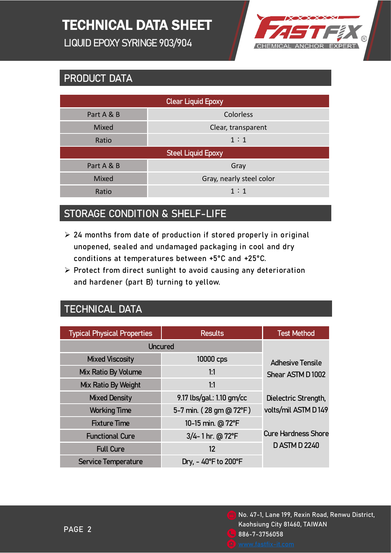## TECHNICAL DATA SHEET

LIQUID EPOXY SYRINGE 903/904



#### PRODUCT DATA

| <b>Clear Liquid Epoxy</b> |                          |  |  |
|---------------------------|--------------------------|--|--|
| Part A & B                | Colorless                |  |  |
| Mixed                     | Clear, transparent       |  |  |
| Ratio                     | 1:1                      |  |  |
| <b>Steel Liquid Epoxy</b> |                          |  |  |
| Part A & B                | Gray                     |  |  |
| Mixed                     | Gray, nearly steel color |  |  |
| Ratio                     | 1:1                      |  |  |

#### STORAGE CONDITION & SHELF-LIFE

- $\geq$  24 months from date of production if stored properly in original unopened, sealed and undamaged packaging in cool and dry conditions at temperatures between +5°C and +25°C.
- ➢ Protect from direct sunlight to avoid causing any deterioration and hardener (part B) turning to yellow.

#### TECHNICAL DATA

| <b>Typical Physical Properties</b> | <b>Results</b>                           | <b>Test Method</b>         |
|------------------------------------|------------------------------------------|----------------------------|
|                                    |                                          |                            |
| <b>Uncured</b>                     |                                          |                            |
| <b>Mixed Viscosity</b>             | 10000 cps                                | <b>Adhesive Tensile</b>    |
| Mix Ratio By Volume                | 1:1                                      | Shear ASTM D1002           |
| Mix Ratio By Weight                | 1:1                                      |                            |
| <b>Mixed Density</b>               | 9.17 lbs/gal.: 1.10 gm/cc                | Dielectric Strength,       |
| <b>Working Time</b>                | 5-7 min. (28 gm @ 72°F)                  | volts/mil ASTM D149        |
| <b>Fixture Time</b>                | 10-15 min. @ 72°F                        |                            |
| <b>Functional Cure</b>             | 3/4-1 hr. @ 72°F                         | <b>Cure Hardness Shore</b> |
| <b>Full Cure</b>                   | 12                                       | <b>DASTM D 2240</b>        |
| <b>Service Temperature</b>         | Dry, $-40^{\circ}$ F to 200 $^{\circ}$ F |                            |